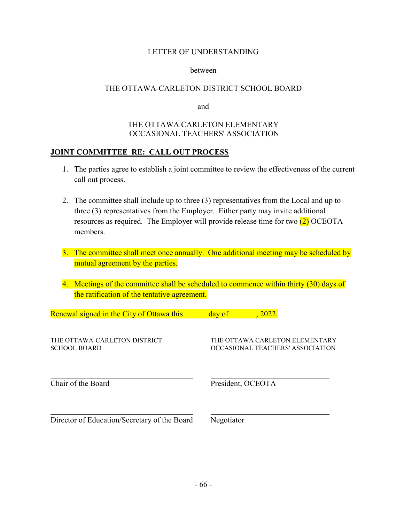#### hetween

### THE OTTAWA-CARLETON DISTRICT SCHOOL BOARD

and

## THE OTTAWA CARLETON ELEMENTARY OCCASIONAL TEACHERS' ASSOCIATION

### **JOINT COMMITTEE RE: CALL OUT PROCESS**

- 1. The parties agree to establish a joint committee to review the effectiveness of the current call out process.
- 2. The committee shall include up to three (3) representatives from the Local and up to three (3) representatives from the Employer. Either party may invite additional resources as required. The Employer will provide release time for two  $(2)$  OCEOTA members.
- 3. The committee shall meet once annually. One additional meeting may be scheduled by mutual agreement by the parties.
- 4. Meetings of the committee shall be scheduled to commence within thirty (30) days of the ratification of the tentative agreement.

| Renewal signed in the City of Ottawa this           | day of     | , 2022.           |                                                                    |
|-----------------------------------------------------|------------|-------------------|--------------------------------------------------------------------|
| THE OTTAWA-CARLETON DISTRICT<br><b>SCHOOL BOARD</b> |            |                   | THE OTTAWA CARLETON ELEMENTARY<br>OCCASIONAL TEACHERS' ASSOCIATION |
| Chair of the Board                                  |            | President, OCEOTA |                                                                    |
| Director of Education/Secretary of the Board        | Negotiator |                   |                                                                    |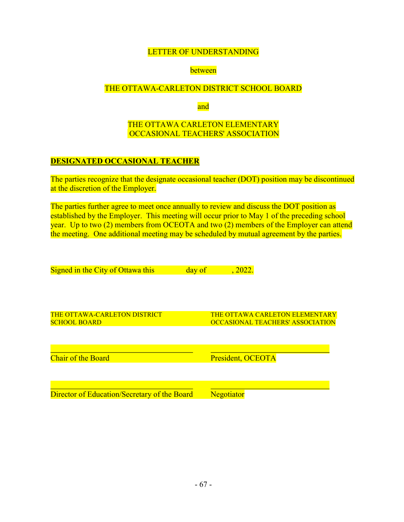## between

## THE OTTAWA-CARLETON DISTRICT SCHOOL BOARD

and

## THE OTTAWA CARLETON ELEMENTARY OCCASIONAL TEACHERS' ASSOCIATION

## **DESIGNATED OCCASIONAL TEACHER**

The parties recognize that the designate occasional teacher (DOT) position may be discontinued at the discretion of the Employer.

The parties further agree to meet once annually to review and discuss the DOT position as established by the Employer. This meeting will occur prior to May 1 of the preceding school year. Up to two (2) members from OCEOTA and two (2) members of the Employer can attend the meeting. One additional meeting may be scheduled by mutual agreement by the parties.

| Signed in the City of Ottawa this            | day of | , 2022.                               |  |
|----------------------------------------------|--------|---------------------------------------|--|
|                                              |        |                                       |  |
|                                              |        |                                       |  |
|                                              |        |                                       |  |
|                                              |        |                                       |  |
|                                              |        |                                       |  |
| THE OTTAWA-CARLETON DISTRICT                 |        | <b>THE OTTAWA CARLETON ELEMENTARY</b> |  |
| <b>SCHOOL BOARD</b>                          |        | OCCASIONAL TEACHERS' ASSOCIATION      |  |
|                                              |        |                                       |  |
|                                              |        |                                       |  |
|                                              |        |                                       |  |
| <b>Chair of the Board</b>                    |        | President, OCEOTA                     |  |
|                                              |        |                                       |  |
|                                              |        |                                       |  |
|                                              |        |                                       |  |
| Director of Education/Secretary of the Board |        | Negotiator                            |  |
|                                              |        |                                       |  |
|                                              |        |                                       |  |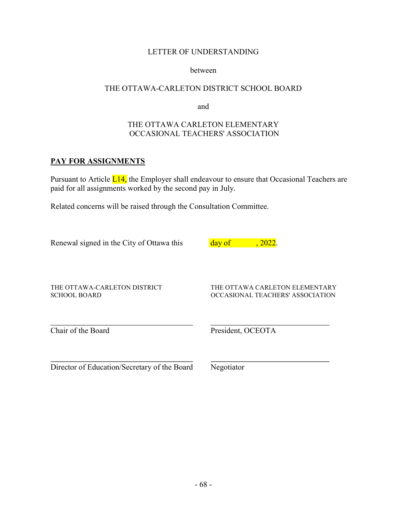#### between

## THE OTTAWA-CARLETON DISTRICT SCHOOL BOARD

and

# THE OTTAWA CARLETON ELEMENTARY OCCASIONAL TEACHERS' ASSOCIATION

# PAY FOR ASSIGNMENTS

Pursuant to Article L14, the Employer shall endeavour to ensure that Occasional Teachers are paid for all assignments worked by the second pay in July.

Related concerns will be raised through the Consultation Committee.

| Renewal signed in the City of Ottawa this           | day of<br><u>, 2022.</u>                                           |
|-----------------------------------------------------|--------------------------------------------------------------------|
| THE OTTAWA-CARLETON DISTRICT<br><b>SCHOOL BOARD</b> | THE OTTAWA CARLETON ELEMENTARY<br>OCCASIONAL TEACHERS' ASSOCIATION |
| Chair of the Board                                  | President, OCEOTA                                                  |
| Director of Education/Secretary of the Board        | Negotiator                                                         |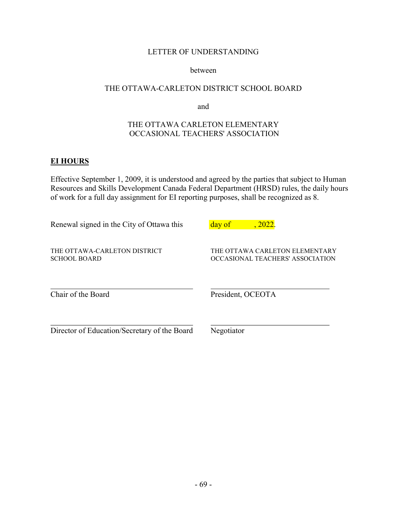#### between

## THE OTTAWA-CARLETON DISTRICT SCHOOL BOARD

and

# THE OTTAWA CARLETON ELEMENTARY OCCASIONAL TEACHERS' ASSOCIATION

# **EI HOURS**

Effective September 1, 2009, it is understood and agreed by the parties that subject to Human Resources and Skills Development Canada Federal Department (HRSD) rules, the daily hours of work for a full day assignment for EI reporting purposes, shall be recognized as 8.

| Renewal signed in the City of Ottawa this           | day of<br>, 2022.                                                  |
|-----------------------------------------------------|--------------------------------------------------------------------|
| THE OTTAWA-CARLETON DISTRICT<br><b>SCHOOL BOARD</b> | THE OTTAWA CARLETON ELEMENTARY<br>OCCASIONAL TEACHERS' ASSOCIATION |
| Chair of the Board                                  | President, OCEOTA                                                  |
| Director of Education/Secretary of the Board        | Negotiator                                                         |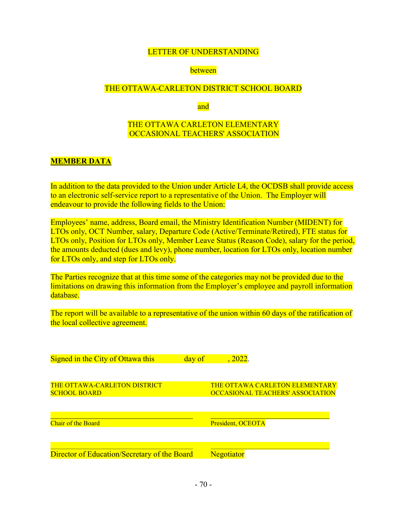### between

### THE OTTAWA-CARLETON DISTRICT SCHOOL BOARD

and

## THE OTTAWA CARLETON ELEMENTARY OCCASIONAL TEACHERS' ASSOCIATION

### **MEMBER DATA**

In addition to the data provided to the Union under Article L4, the OCDSB shall provide access to an electronic self-service report to a representative of the Union. The Employer will endeavour to provide the following fields to the Union:

Employees' name, address, Board email, the Ministry Identification Number (MIDENT) for LTOs only, OCT Number, salary, Departure Code (Active/Terminate/Retired), FTE status for LTOs only, Position for LTOs only, Member Leave Status (Reason Code), salary for the period, the amounts deducted (dues and levy), phone number, location for LTOs only, location number for LTOs only, and step for LTOs only.

The Parties recognize that at this time some of the categories may not be provided due to the limitations on drawing this information from the Employer's employee and payroll information database.

The report will be available to a representative of the union within 60 days of the ratification of the local collective agreement.

| Signed in the City of Ottawa this                          | day of | , 2022.                                                                          |
|------------------------------------------------------------|--------|----------------------------------------------------------------------------------|
|                                                            |        |                                                                                  |
| <b>THE OTTAWA-CARLETON DISTRICT</b><br><b>SCHOOL BOARD</b> |        | <b>THE OTTAWA CARLETON ELEMENTARY</b><br><b>OCCASIONAL TEACHERS' ASSOCIATION</b> |
| <b>Chair of the Board</b>                                  |        | President, OCEOTA                                                                |
| Director of Education/Secretary of the Board               |        | <b>Negotiator</b>                                                                |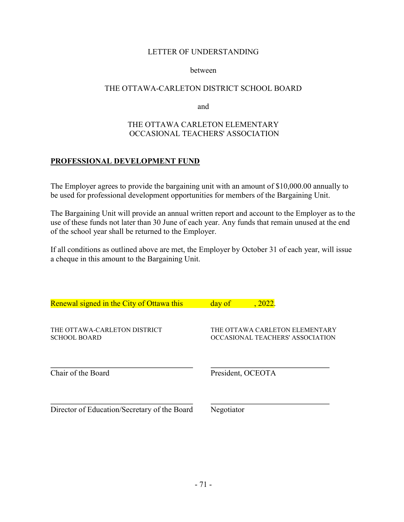#### hetween

### THE OTTAWA-CARLETON DISTRICT SCHOOL BOARD

and

## THE OTTAWA CARLETON ELEMENTARY OCCASIONAL TEACHERS' ASSOCIATION

## PROFESSIONAL DEVELOPMENT FUND

The Employer agrees to provide the bargaining unit with an amount of \$10,000.00 annually to be used for professional development opportunities for members of the Bargaining Unit.

The Bargaining Unit will provide an annual written report and account to the Employer as to the use of these funds not later than 30 June of each year. Any funds that remain unused at the end of the school year shall be returned to the Employer.

If all conditions as outlined above are met, the Employer by October 31 of each year, will issue a cheque in this amount to the Bargaining Unit.

| Renewal signed in the City of Ottawa this           | , 2022.<br>day of                                                  |
|-----------------------------------------------------|--------------------------------------------------------------------|
| THE OTTAWA-CARLETON DISTRICT<br><b>SCHOOL BOARD</b> | THE OTTAWA CARLETON ELEMENTARY<br>OCCASIONAL TEACHERS' ASSOCIATION |
| Chair of the Board                                  | President, OCEOTA                                                  |
| Director of Education/Secretary of the Board        | Negotiator                                                         |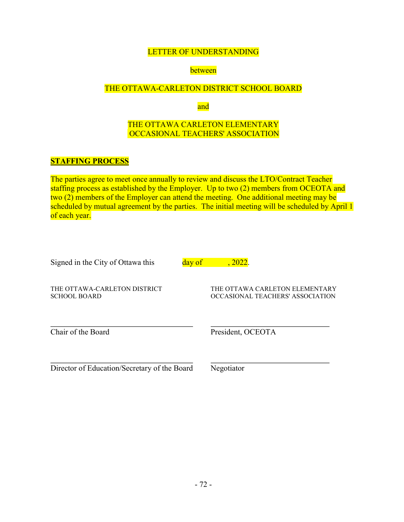### between

## THE OTTAWA-CARLETON DISTRICT SCHOOL BOARD

and

## THE OTTAWA CARLETON ELEMENTARY OCCASIONAL TEACHERS' ASSOCIATION

### **STAFFING PROCESS**

The parties agree to meet once annually to review and discuss the LTO/Contract Teacher staffing process as established by the Employer. Up to two (2) members from OCEOTA and two (2) members of the Employer can attend the meeting. One additional meeting may be scheduled by mutual agreement by the parties. The initial meeting will be scheduled by April 1 of each year.

| Signed in the City of Ottawa this |  |
|-----------------------------------|--|
|-----------------------------------|--|

 $day of$ ,  $2022$ .

THE OTTAWA-CARLETON DISTRICT **SCHOOL BOARD** 

THE OTTAWA CARLETON ELEMENTARY OCCASIONAL TEACHERS' ASSOCIATION

Chair of the Board

President, OCEOTA

Director of Education/Secretary of the Board

Negotiator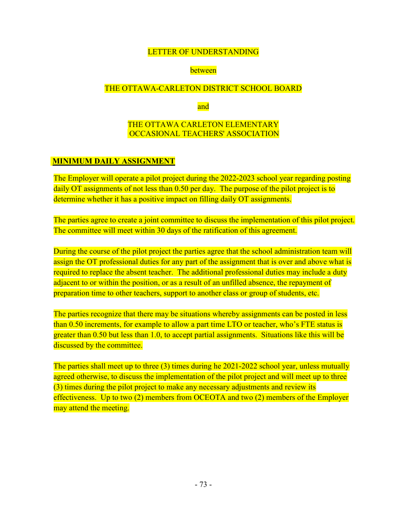### between

### THE OTTAWA-CARLETON DISTRICT SCHOOL BOARD

and

## THE OTTAWA CARLETON ELEMENTARY **OCCASIONAL TEACHERS' ASSOCIATION**

## **MINIMUM DAILY ASSIGNMENT**

The Employer will operate a pilot project during the 2022-2023 school year regarding posting daily OT assignments of not less than 0.50 per day. The purpose of the pilot project is to determine whether it has a positive impact on filling daily OT assignments.

The parties agree to create a joint committee to discuss the implementation of this pilot project. The committee will meet within 30 days of the ratification of this agreement.

During the course of the pilot project the parties agree that the school administration team will assign the OT professional duties for any part of the assignment that is over and above what is required to replace the absent teacher. The additional professional duties may include a duty adjacent to or within the position, or as a result of an unfilled absence, the repayment of preparation time to other teachers, support to another class or group of students, etc.

The parties recognize that there may be situations whereby assignments can be posted in less than 0.50 increments, for example to allow a part time LTO or teacher, who's FTE status is greater than 0.50 but less than 1.0, to accept partial assignments. Situations like this will be discussed by the committee.

The parties shall meet up to three (3) times during he 2021-2022 school year, unless mutually agreed otherwise, to discuss the implementation of the pilot project and will meet up to three (3) times during the pilot project to make any necessary adjustments and review its effectiveness. Up to two  $(2)$  members from OCEOTA and two  $(2)$  members of the Employer may attend the meeting.